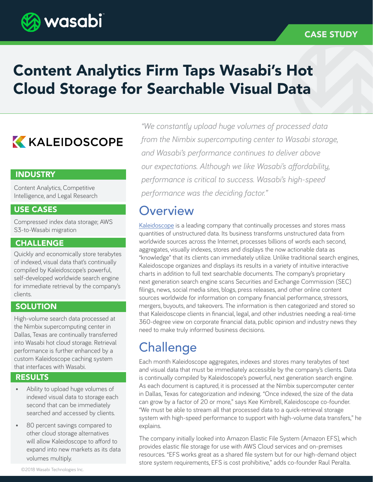

### CASE STUDY

# Content Analytics Firm Taps Wasabi's Hot Cloud Storage for Searchable Visual Data

## **KALEIDOSCOPE**

#### **INDUSTRY**

Content Analytics, Competitive Intelligence, and Legal Research

#### USE CASES

Compressed index data storage; AWS S3-to-Wasabi migration

#### CHALLENGE

Quickly and economically store terabytes of indexed, visual data that's continually compiled by Kaleidoscope's powerful, self-developed worldwide search engine for immediate retrieval by the company's clients.

#### **SOLUTION**

High-volume search data processed at the Nimbix supercomputing center in Dallas, Texas are continually transferred into Wasabi hot cloud storage. Retrieval performance is further enhanced by a custom Kaleidoscope caching system that interfaces with Wasabi.

### RESULTS

- Ability to upload huge volumes of indexed visual data to storage each second that can be immediately searched and accessed by clients.
- 80 percent savings compared to other cloud storage alternatives will allow Kaleidoscope to afford to expand into new markets as its data volumes multiply.

*"We constantly upload huge volumes of processed data from the Nimbix supercomputing center to Wasabi storage, and Wasabi's performance continues to deliver above our expectations. Although we like Wasabi's affordability, performance is critical to success. Wasabi's high-speed performance was the deciding factor."*

### **Overview**

[Kaleidoscope](https://www.kscope.io/) is a leading company that continually processes and stores mass quantities of unstructured data. Its business transforms unstructured data from worldwide sources across the Internet, processes billions of words each second, aggregates, visually indexes, stores and displays the now actionable data as "knowledge" that its clients can immediately utilize. Unlike traditional search engines, Kaleidoscope organizes and displays its results in a variety of intuitive interactive charts in addition to full text searchable documents. The company's proprietary next generation search engine scans Securities and Exchange Commission (SEC) filings, news, social media sites, blogs, press releases, and other online content sources worldwide for information on company financial performance, stressors, mergers, buyouts, and takeovers. The information is then categorized and stored so that Kaleidoscope clients in financial, legal, and other industries needing a real-time 360-degree view on corporate financial data, public opinion and industry news they need to make truly informed business decisions.

### **Challenge**

Each month Kaleidoscope aggregates, indexes and stores many terabytes of text and visual data that must be immediately accessible by the company's clients. Data is continually compiled by Kaleidoscope's powerful, next generation search engine. As each document is captured, it is processed at the Nimbix supercomputer center in Dallas, Texas for categorization and indexing. "Once indexed, the size of the data can grow by a factor of 20 or more," says Kee Kimbrell, Kaleidoscope co-founder. "We must be able to stream all that processed data to a quick-retrieval storage system with high-speed performance to support with high-volume data transfers," he explains.

The company initially looked into Amazon Elastic File System (Amazon EFS), which provides elastic file storage for use with AWS Cloud services and on-premises resources. "EFS works great as a shared file system but for our high-demand object store system requirements, EFS is cost prohibitive," adds co-founder Raul Peralta.